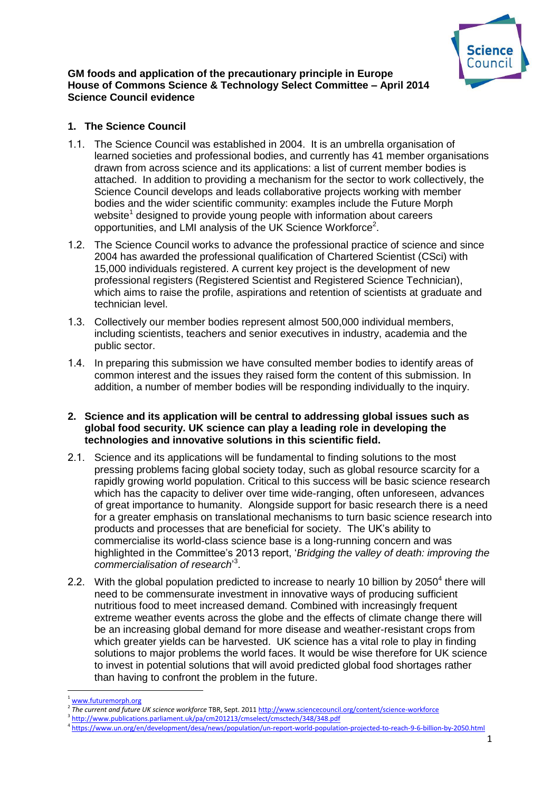

### **GM foods and application of the precautionary principle in Europe House of Commons Science & Technology Select Committee – April 2014 Science Council evidence**

# **1. The Science Council**

- 1.1. The Science Council was established in 2004. It is an umbrella organisation of learned societies and professional bodies, and currently has 41 member organisations drawn from across science and its applications: a list of current member bodies is attached. In addition to providing a mechanism for the sector to work collectively, the Science Council develops and leads collaborative projects working with member bodies and the wider scientific community: examples include the Future Morph website<sup>1</sup> designed to provide young people with information about careers opportunities, and LMI analysis of the UK Science Workforce<sup>2</sup>.
- 1.2. The Science Council works to advance the professional practice of science and since 2004 has awarded the professional qualification of Chartered Scientist (CSci) with 15,000 individuals registered. A current key project is the development of new professional registers (Registered Scientist and Registered Science Technician), which aims to raise the profile, aspirations and retention of scientists at graduate and technician level.
- 1.3. Collectively our member bodies represent almost 500,000 individual members, including scientists, teachers and senior executives in industry, academia and the public sector.
- 1.4. In preparing this submission we have consulted member bodies to identify areas of common interest and the issues they raised form the content of this submission. In addition, a number of member bodies will be responding individually to the inquiry.

### **2. Science and its application will be central to addressing global issues such as global food security. UK science can play a leading role in developing the technologies and innovative solutions in this scientific field.**

- 2.1. Science and its applications will be fundamental to finding solutions to the most pressing problems facing global society today, such as global resource scarcity for a rapidly growing world population. Critical to this success will be basic science research which has the capacity to deliver over time wide-ranging, often unforeseen, advances of great importance to humanity. Alongside support for basic research there is a need for a greater emphasis on translational mechanisms to turn basic science research into products and processes that are beneficial for society. The UK's ability to commercialise its world-class science base is a long-running concern and was highlighted in the Committee's 2013 report, '*Bridging the valley of death: improving the commercialisation of research*' 3 .
- 2.2. With the global population predicted to increase to nearly 10 billion by 2050<sup>4</sup> there will need to be commensurate investment in innovative ways of producing sufficient nutritious food to meet increased demand. Combined with increasingly frequent extreme weather events across the globe and the effects of climate change there will be an increasing global demand for more disease and weather-resistant crops from which greater yields can be harvested. UK science has a vital role to play in finding solutions to major problems the world faces. It would be wise therefore for UK science to invest in potential solutions that will avoid predicted global food shortages rather than having to confront the problem in the future.

**.** 

[www.futuremorph.org](http://www.futuremorph.org/)

<sup>2</sup> *The current and future UK science workforce* TBR, Sept. 201[1 http://www.sciencecouncil.org/content/science-workforce](http://www.sciencecouncil.org/content/science-workforce)

<sup>&</sup>lt;sup>3</sup> <http://www.publications.parliament.uk/pa/cm201213/cmselect/cmsctech/348/348.pdf>

<sup>4</sup> <https://www.un.org/en/development/desa/news/population/un-report-world-population-projected-to-reach-9-6-billion-by-2050.html>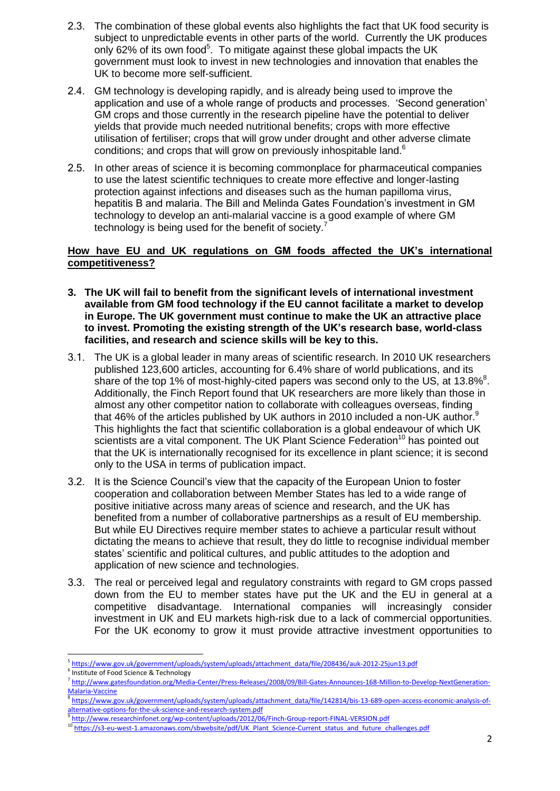- 2.3. The combination of these global events also highlights the fact that UK food security is subject to unpredictable events in other parts of the world. Currently the UK produces only 62% of its own food<sup>5</sup>. To mitigate against these global impacts the UK government must look to invest in new technologies and innovation that enables the UK to become more self-sufficient.
- 2.4. GM technology is developing rapidly, and is already being used to improve the application and use of a whole range of products and processes. 'Second generation' GM crops and those currently in the research pipeline have the potential to deliver yields that provide much needed nutritional benefits; crops with more effective utilisation of fertiliser; crops that will grow under drought and other adverse climate conditions; and crops that will grow on previously inhospitable land.<sup>6</sup>
- 2.5. In other areas of science it is becoming commonplace for pharmaceutical companies to use the latest scientific techniques to create more effective and longer-lasting protection against infections and diseases such as the human papilloma virus, hepatitis B and malaria. The Bill and Melinda Gates Foundation's investment in GM technology to develop an anti-malarial vaccine is a good example of where GM technology is being used for the benefit of society.<sup>7</sup>

# **How have EU and UK regulations on GM foods affected the UK's international competitiveness?**

- **3. The UK will fail to benefit from the significant levels of international investment available from GM food technology if the EU cannot facilitate a market to develop in Europe. The UK government must continue to make the UK an attractive place to invest. Promoting the existing strength of the UK's research base, world-class facilities, and research and science skills will be key to this.**
- 3.1. The UK is a global leader in many areas of scientific research. In 2010 UK researchers published 123,600 articles, accounting for 6.4% share of world publications, and its share of the top 1% of most-highly-cited papers was second only to the US, at 13.8% $8$ . Additionally, the Finch Report found that UK researchers are more likely than those in almost any other competitor nation to collaborate with colleagues overseas, finding that 46% of the articles published by UK authors in 2010 included a non-UK author. $9$ This highlights the fact that scientific collaboration is a global endeavour of which UK scientists are a vital component. The UK Plant Science Federation<sup>10</sup> has pointed out that the UK is internationally recognised for its excellence in plant science; it is second only to the USA in terms of publication impact.
- 3.2. It is the Science Council's view that the capacity of the European Union to foster cooperation and collaboration between Member States has led to a wide range of positive initiative across many areas of science and research, and the UK has benefited from a number of collaborative partnerships as a result of EU membership. But while EU Directives require member states to achieve a particular result without dictating the means to achieve that result, they do little to recognise individual member states' scientific and political cultures, and public attitudes to the adoption and application of new science and technologies.
- 3.3. The real or perceived legal and regulatory constraints with regard to GM crops passed down from the EU to member states have put the UK and the EU in general at a competitive disadvantage. International companies will increasingly consider investment in UK and EU markets high-risk due to a lack of commercial opportunities. For the UK economy to grow it must provide attractive investment opportunities to

6 Institute of Food Science & Technology

**<sup>.</sup>** <sup>5</sup> [https://www.gov.uk/government/uploads/system/uploads/attachment\\_data/file/208436/auk-2012-25jun13.pdf](https://www.gov.uk/government/uploads/system/uploads/attachment_data/file/208436/auk-2012-25jun13.pdf)

<sup>7</sup> [http://www.gatesfoundation.org/Media-Center/Press-Releases/2008/09/Bill-Gates-Announces-168-Million-to-Develop-NextGeneration-](http://www.gatesfoundation.org/Media-Center/Press-Releases/2008/09/Bill-Gates-Announces-168-Million-to-Develop-NextGeneration-Malaria-Vaccine)[Malaria-Vaccine](http://www.gatesfoundation.org/Media-Center/Press-Releases/2008/09/Bill-Gates-Announces-168-Million-to-Develop-NextGeneration-Malaria-Vaccine)

<sup>&</sup>lt;sup>8</sup>[https://www.gov.uk/government/uploads/system/uploads/attachment\\_data/file/142814/bis-13-689-open-access-economic-analysis-of](https://www.gov.uk/government/uploads/system/uploads/attachment_data/file/142814/bis-13-689-open-access-economic-analysis-of-alternative-options-for-the-uk-science-and-research-system.pdf)[alternative-options-for-the-uk-science-and-research-system.pdf](https://www.gov.uk/government/uploads/system/uploads/attachment_data/file/142814/bis-13-689-open-access-economic-analysis-of-alternative-options-for-the-uk-science-and-research-system.pdf)

<sup>&</sup>lt;sup>9</sup> <http://www.researchinfonet.org/wp-content/uploads/2012/06/Finch-Group-report-FINAL-VERSION.pdf>

<sup>&</sup>lt;sup>10</sup> [https://s3-eu-west-1.amazonaws.com/sbwebsite/pdf/UK\\_Plant\\_Science-Current\\_status\\_and\\_future\\_challenges.pdf](https://s3-eu-west-1.amazonaws.com/sbwebsite/pdf/UK_Plant_Science-Current_status_and_future_challenges.pdf)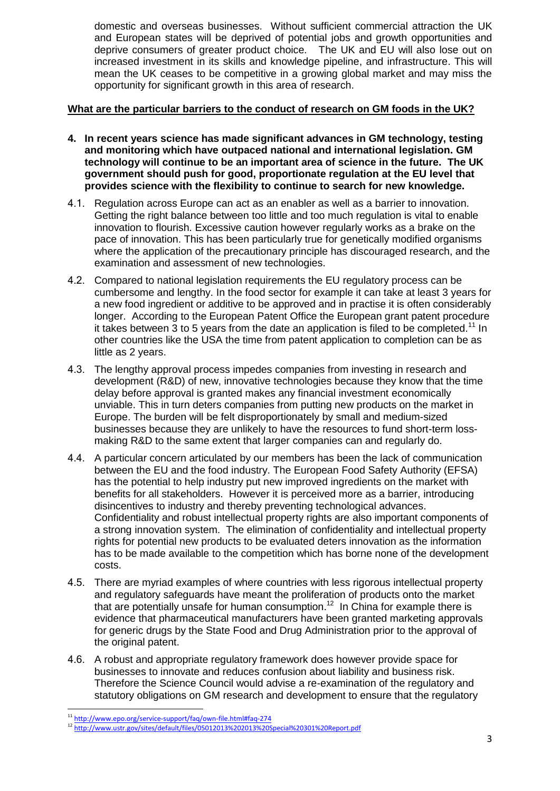domestic and overseas businesses. Without sufficient commercial attraction the UK and European states will be deprived of potential jobs and growth opportunities and deprive consumers of greater product choice. The UK and EU will also lose out on increased investment in its skills and knowledge pipeline, and infrastructure. This will mean the UK ceases to be competitive in a growing global market and may miss the opportunity for significant growth in this area of research.

## **What are the particular barriers to the conduct of research on GM foods in the UK?**

- **4. In recent years science has made significant advances in GM technology, testing and monitoring which have outpaced national and international legislation. GM technology will continue to be an important area of science in the future. The UK government should push for good, proportionate regulation at the EU level that provides science with the flexibility to continue to search for new knowledge.**
- 4.1. Regulation across Europe can act as an enabler as well as a barrier to innovation. Getting the right balance between too little and too much regulation is vital to enable innovation to flourish. Excessive caution however regularly works as a brake on the pace of innovation. This has been particularly true for genetically modified organisms where the application of the precautionary principle has discouraged research, and the examination and assessment of new technologies.
- 4.2. Compared to national legislation requirements the EU regulatory process can be cumbersome and lengthy. In the food sector for example it can take at least 3 years for a new food ingredient or additive to be approved and in practise it is often considerably longer. According to the European Patent Office the European grant patent procedure it takes between  $\overline{3}$  to 5 years from the date an application is filed to be completed.<sup>11</sup> In other countries like the USA the time from patent application to completion can be as little as 2 years.
- 4.3. The lengthy approval process impedes companies from investing in research and development (R&D) of new, innovative technologies because they know that the time delay before approval is granted makes any financial investment economically unviable. This in turn deters companies from putting new products on the market in Europe. The burden will be felt disproportionately by small and medium-sized businesses because they are unlikely to have the resources to fund short-term lossmaking R&D to the same extent that larger companies can and regularly do.
- 4.4. A particular concern articulated by our members has been the lack of communication between the EU and the food industry. The European Food Safety Authority (EFSA) has the potential to help industry put new improved ingredients on the market with benefits for all stakeholders. However it is perceived more as a barrier, introducing disincentives to industry and thereby preventing technological advances. Confidentiality and robust intellectual property rights are also important components of a strong innovation system. The elimination of confidentiality and intellectual property rights for potential new products to be evaluated deters innovation as the information has to be made available to the competition which has borne none of the development costs.
- 4.5. There are myriad examples of where countries with less rigorous intellectual property and regulatory safeguards have meant the proliferation of products onto the market that are potentially unsafe for human consumption.<sup>12</sup> In China for example there is evidence that pharmaceutical manufacturers have been granted marketing approvals for generic drugs by the State Food and Drug Administration prior to the approval of the original patent.
- 4.6. A robust and appropriate regulatory framework does however provide space for businesses to innovate and reduces confusion about liability and business risk. Therefore the Science Council would advise a re-examination of the regulatory and statutory obligations on GM research and development to ensure that the regulatory

1

<sup>&</sup>lt;sup>11</sup> <http://www.epo.org/service-support/faq/own-file.html#faq-274>

<sup>12</sup> <http://www.ustr.gov/sites/default/files/05012013%202013%20Special%20301%20Report.pdf>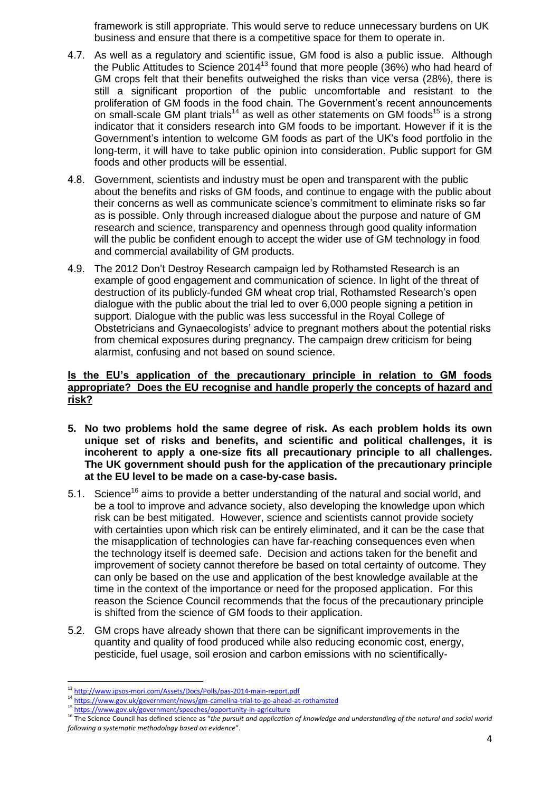framework is still appropriate. This would serve to reduce unnecessary burdens on UK business and ensure that there is a competitive space for them to operate in.

- 4.7. As well as a regulatory and scientific issue, GM food is also a public issue. Although the Public Attitudes to Science  $2014^{13}$  found that more people (36%) who had heard of GM crops felt that their benefits outweighed the risks than vice versa (28%), there is still a significant proportion of the public uncomfortable and resistant to the proliferation of GM foods in the food chain. The Government's recent announcements on small-scale GM plant trials<sup>14</sup> as well as other statements on GM foods<sup>15</sup> is a strong indicator that it considers research into GM foods to be important. However if it is the Government's intention to welcome GM foods as part of the UK's food portfolio in the long-term, it will have to take public opinion into consideration. Public support for GM foods and other products will be essential.
- 4.8. Government, scientists and industry must be open and transparent with the public about the benefits and risks of GM foods, and continue to engage with the public about their concerns as well as communicate science's commitment to eliminate risks so far as is possible. Only through increased dialogue about the purpose and nature of GM research and science, transparency and openness through good quality information will the public be confident enough to accept the wider use of GM technology in food and commercial availability of GM products.
- 4.9. The 2012 Don't Destroy Research campaign led by Rothamsted Research is an example of good engagement and communication of science. In light of the threat of destruction of its publicly-funded GM wheat crop trial, Rothamsted Research's open dialogue with the public about the trial led to over 6,000 people signing a petition in support. Dialogue with the public was less successful in the Royal College of Obstetricians and Gynaecologists' advice to pregnant mothers about the potential risks from chemical exposures during pregnancy. The campaign drew criticism for being alarmist, confusing and not based on sound science.

# **Is the EU's application of the precautionary principle in relation to GM foods appropriate? Does the EU recognise and handle properly the concepts of hazard and risk?**

- **5. No two problems hold the same degree of risk. As each problem holds its own unique set of risks and benefits, and scientific and political challenges, it is incoherent to apply a one-size fits all precautionary principle to all challenges. The UK government should push for the application of the precautionary principle at the EU level to be made on a case-by-case basis.**
- 5.1. Science<sup>16</sup> aims to provide a better understanding of the natural and social world, and be a tool to improve and advance society, also developing the knowledge upon which risk can be best mitigated. However, science and scientists cannot provide society with certainties upon which risk can be entirely eliminated, and it can be the case that the misapplication of technologies can have far-reaching consequences even when the technology itself is deemed safe. Decision and actions taken for the benefit and improvement of society cannot therefore be based on total certainty of outcome. They can only be based on the use and application of the best knowledge available at the time in the context of the importance or need for the proposed application. For this reason the Science Council recommends that the focus of the precautionary principle is shifted from the science of GM foods to their application.
- 5.2. GM crops have already shown that there can be significant improvements in the quantity and quality of food produced while also reducing economic cost, energy, pesticide, fuel usage, soil erosion and carbon emissions with no scientifically-

**.** 

<sup>&</sup>lt;sup>13</sup> <http://www.ipsos-mori.com/Assets/Docs/Polls/pas-2014-main-report.pdf>

<sup>14</sup> <https://www.gov.uk/government/news/gm-camelina-trial-to-go-ahead-at-rothamsted>

<sup>15</sup> <https://www.gov.uk/government/speeches/opportunity-in-agriculture>

<sup>&</sup>lt;sup>16</sup> The Science Council has defined science as "the pursuit and application of knowledge and understanding of the natural and social world *following a systematic methodology based on evidence*".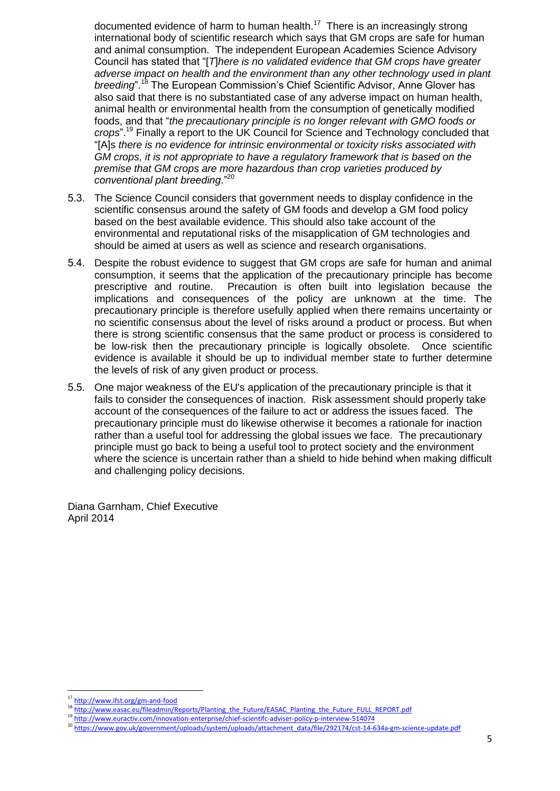documented evidence of harm to human health.<sup>17</sup> There is an increasingly strong international body of scientific research which says that GM crops are safe for human and animal consumption. The independent European Academies Science Advisory Council has stated that "[*T*]*here is no validated evidence that GM crops have greater adverse impact on health and the environment than any other technology used in plant breeding*".<sup>18</sup> The European Commission's Chief Scientific Advisor, Anne Glover has also said that there is no substantiated case of any adverse impact on human health, animal health or environmental health from the consumption of genetically modified foods, and that "*the precautionary principle is no longer relevant with GMO foods or crops*".<sup>19</sup> Finally a report to the UK Council for Science and Technology concluded that "[A]s *there is no evidence for intrinsic environmental or toxicity risks associated with GM crops, it is not appropriate to have a regulatory framework that is based on the premise that GM crops are more hazardous than crop varieties produced by conventional plant breeding*." 20

- 5.3. The Science Council considers that government needs to display confidence in the scientific consensus around the safety of GM foods and develop a GM food policy based on the best available evidence. This should also take account of the environmental and reputational risks of the misapplication of GM technologies and should be aimed at users as well as science and research organisations.
- 5.4. Despite the robust evidence to suggest that GM crops are safe for human and animal consumption, it seems that the application of the precautionary principle has become prescriptive and routine. Precaution is often built into legislation because the implications and consequences of the policy are unknown at the time. The precautionary principle is therefore usefully applied when there remains uncertainty or no scientific consensus about the level of risks around a product or process. But when there is strong scientific consensus that the same product or process is considered to be low-risk then the precautionary principle is logically obsolete. Once scientific evidence is available it should be up to individual member state to further determine the levels of risk of any given product or process.
- 5.5. One major weakness of the EU's application of the precautionary principle is that it fails to consider the consequences of inaction. Risk assessment should properly take account of the consequences of the failure to act or address the issues faced. The precautionary principle must do likewise otherwise it becomes a rationale for inaction rather than a useful tool for addressing the global issues we face. The precautionary principle must go back to being a useful tool to protect society and the environment where the science is uncertain rather than a shield to hide behind when making difficult and challenging policy decisions.

Diana Garnham, Chief Executive April 2014

**<sup>.</sup>** <sup>17</sup> <http://www.ifst.org/gm-and-food>

<sup>18</sup> [http://www.easac.eu/fileadmin/Reports/Planting\\_the\\_Future/EASAC\\_Planting\\_the\\_Future\\_FULL\\_REPORT.pdf](http://www.easac.eu/fileadmin/Reports/Planting_the_Future/EASAC_Planting_the_Future_FULL_REPORT.pdf)

<sup>19</sup> <http://www.euractiv.com/innovation-enterprise/chief-scientifc-adviser-policy-p-interview-514074>

<sup>20</sup> [https://www.gov.uk/government/uploads/system/uploads/attachment\\_data/file/292174/cst-14-634a-gm-science-update.pdf](https://www.gov.uk/government/uploads/system/uploads/attachment_data/file/292174/cst-14-634a-gm-science-update.pdf)